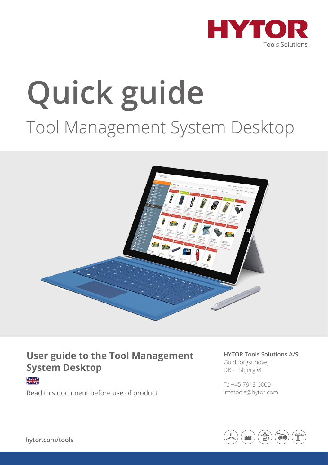

# **Quick guide** Tool Management System Desktop



#### **User guide to the Tool Management System Desktop**

¥

Read this document before use of product

**HYTOR Tools Solutions A/S**  Guldborgsundvej 1 DK - Esbjerg Ø

T.: +45 7913 0000 infotools@hytor.com

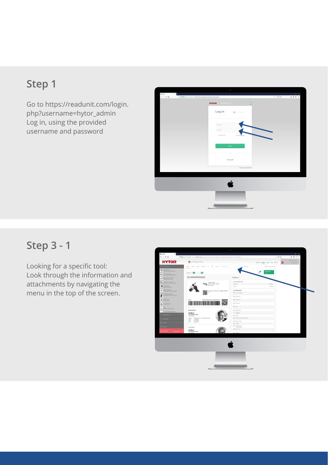## **Step 1**

Go to https://readunit.com/login. php?username=hytor\_admin Log in, using the provided username and password



### **Step 3 - 1**

Looking for a specific tool: Look through the information and attachments by navigating the menu in the top of the screen.

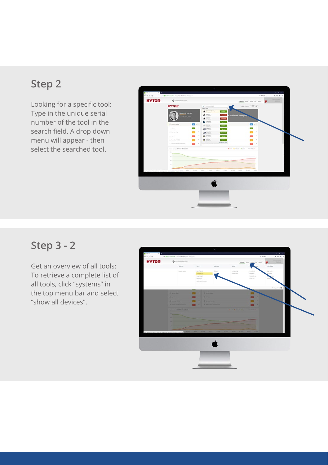#### **Step 2**

Looking for a specific tool: Type in the unique serial number of the tool in the search field. A drop down menu will appear - then select the searched tool.



#### **Step 3 - 2**

Get an overview of all tools: To retrieve a complete list of all tools, click "systems" in the top menu bar and select "show all devices".